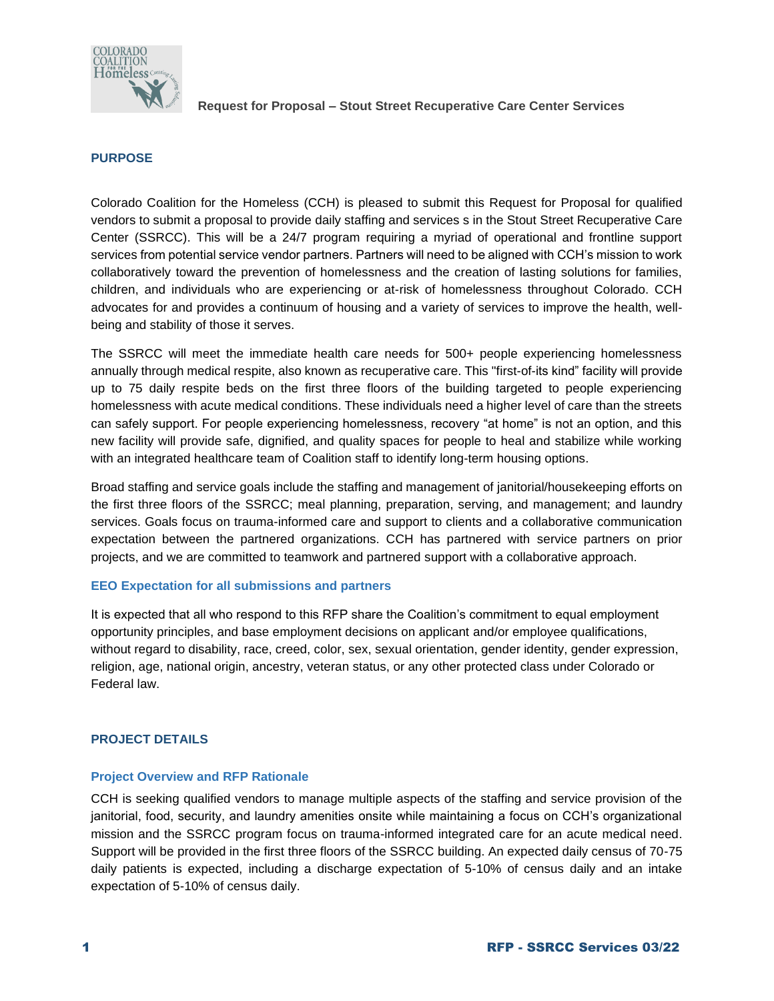

### **PURPOSE**

Colorado Coalition for the Homeless (CCH) is pleased to submit this Request for Proposal for qualified vendors to submit a proposal to provide daily staffing and services s in the Stout Street Recuperative Care Center (SSRCC). This will be a 24/7 program requiring a myriad of operational and frontline support services from potential service vendor partners. Partners will need to be aligned with CCH's mission to work collaboratively toward the prevention of homelessness and the creation of lasting solutions for families, children, and individuals who are experiencing or at-risk of homelessness throughout Colorado. CCH advocates for and provides a continuum of housing and a variety of services to improve the health, wellbeing and stability of those it serves.

The SSRCC will meet the immediate health care needs for 500+ people experiencing homelessness annually through medical respite, also known as recuperative care. This "first-of-its kind" facility will provide up to 75 daily respite beds on the first three floors of the building targeted to people experiencing homelessness with acute medical conditions. These individuals need a higher level of care than the streets can safely support. For people experiencing homelessness, recovery "at home" is not an option, and this new facility will provide safe, dignified, and quality spaces for people to heal and stabilize while working with an integrated healthcare team of Coalition staff to identify long-term housing options.

Broad staffing and service goals include the staffing and management of janitorial/housekeeping efforts on the first three floors of the SSRCC; meal planning, preparation, serving, and management; and laundry services. Goals focus on trauma-informed care and support to clients and a collaborative communication expectation between the partnered organizations. CCH has partnered with service partners on prior projects, and we are committed to teamwork and partnered support with a collaborative approach.

#### **EEO Expectation for all submissions and partners**

It is expected that all who respond to this RFP share the Coalition's commitment to equal employment opportunity principles, and base employment decisions on applicant and/or employee qualifications, without regard to disability, race, creed, color, sex, sexual orientation, gender identity, gender expression, religion, age, national origin, ancestry, veteran status, or any other protected class under Colorado or Federal law.

## **PROJECT DETAILS**

#### **Project Overview and RFP Rationale**

CCH is seeking qualified vendors to manage multiple aspects of the staffing and service provision of the janitorial, food, security, and laundry amenities onsite while maintaining a focus on CCH's organizational mission and the SSRCC program focus on trauma-informed integrated care for an acute medical need. Support will be provided in the first three floors of the SSRCC building. An expected daily census of 70-75 daily patients is expected, including a discharge expectation of 5-10% of census daily and an intake expectation of 5-10% of census daily.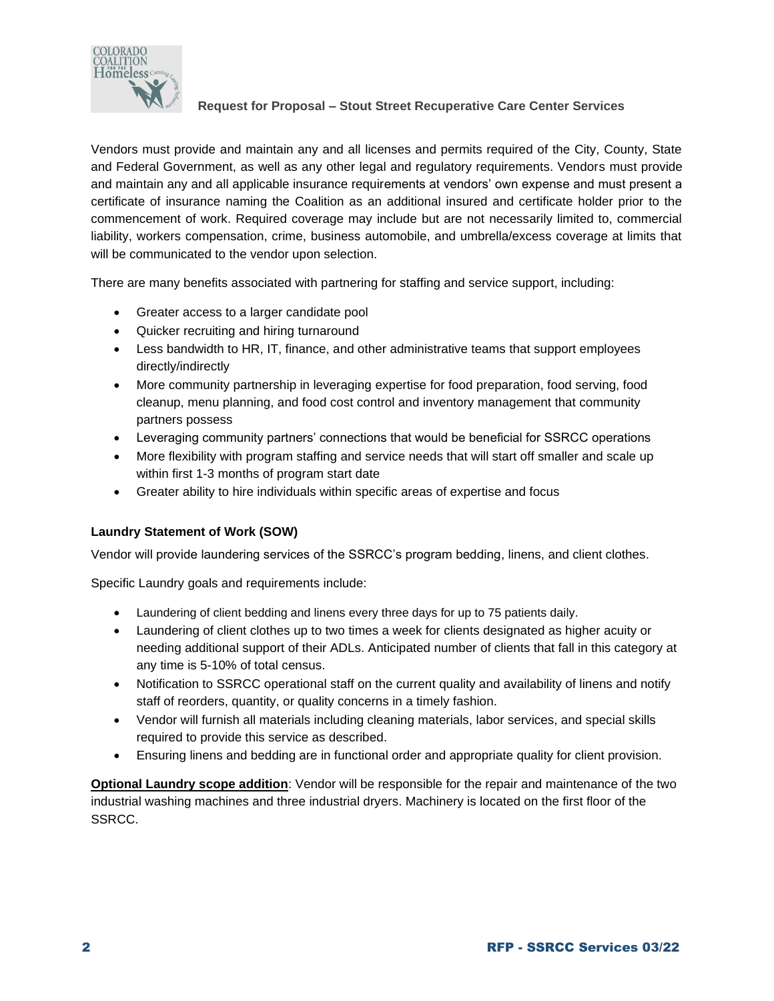

Vendors must provide and maintain any and all licenses and permits required of the City, County, State and Federal Government, as well as any other legal and regulatory requirements. Vendors must provide and maintain any and all applicable insurance requirements at vendors' own expense and must present a certificate of insurance naming the Coalition as an additional insured and certificate holder prior to the commencement of work. Required coverage may include but are not necessarily limited to, commercial liability, workers compensation, crime, business automobile, and umbrella/excess coverage at limits that will be communicated to the vendor upon selection.

There are many benefits associated with partnering for staffing and service support, including:

- Greater access to a larger candidate pool
- Quicker recruiting and hiring turnaround
- Less bandwidth to HR, IT, finance, and other administrative teams that support employees directly/indirectly
- More community partnership in leveraging expertise for food preparation, food serving, food cleanup, menu planning, and food cost control and inventory management that community partners possess
- Leveraging community partners' connections that would be beneficial for SSRCC operations
- More flexibility with program staffing and service needs that will start off smaller and scale up within first 1-3 months of program start date
- Greater ability to hire individuals within specific areas of expertise and focus

## **Laundry Statement of Work (SOW)**

Vendor will provide laundering services of the SSRCC's program bedding, linens, and client clothes.

Specific Laundry goals and requirements include:

- Laundering of client bedding and linens every three days for up to 75 patients daily.
- Laundering of client clothes up to two times a week for clients designated as higher acuity or needing additional support of their ADLs. Anticipated number of clients that fall in this category at any time is 5-10% of total census.
- Notification to SSRCC operational staff on the current quality and availability of linens and notify staff of reorders, quantity, or quality concerns in a timely fashion.
- Vendor will furnish all materials including cleaning materials, labor services, and special skills required to provide this service as described.
- Ensuring linens and bedding are in functional order and appropriate quality for client provision.

**Optional Laundry scope addition**: Vendor will be responsible for the repair and maintenance of the two industrial washing machines and three industrial dryers. Machinery is located on the first floor of the SSRCC.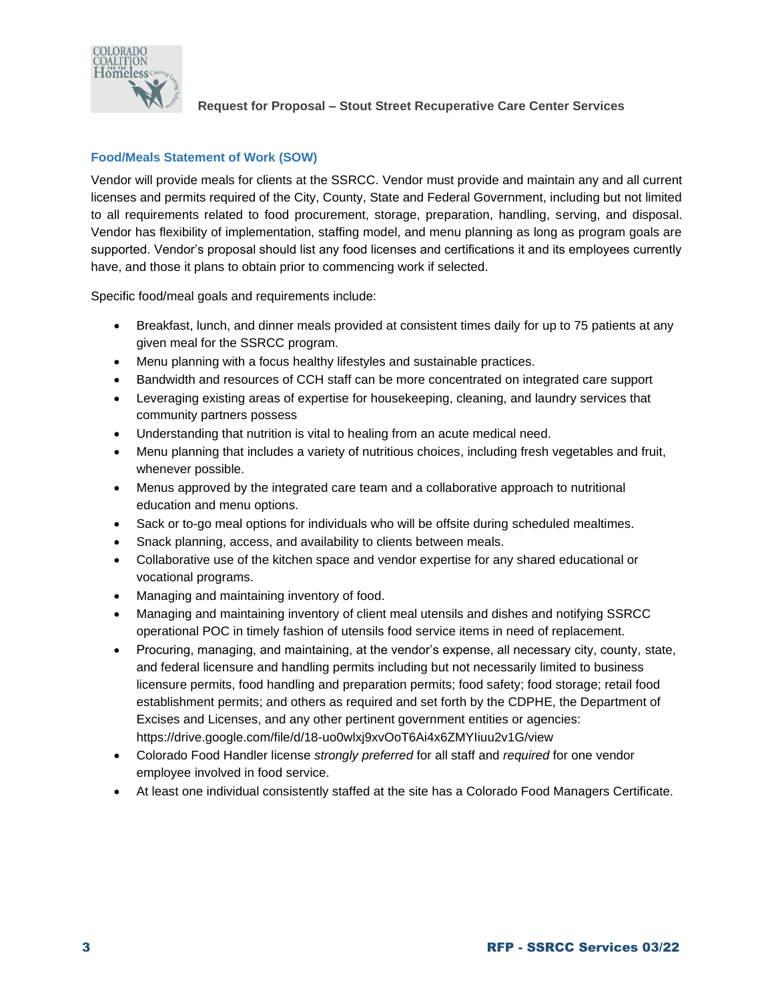

# **Food/Meals Statement of Work (SOW)**

Vendor will provide meals for clients at the SSRCC. Vendor must provide and maintain any and all current licenses and permits required of the City, County, State and Federal Government, including but not limited to all requirements related to food procurement, storage, preparation, handling, serving, and disposal. Vendor has flexibility of implementation, staffing model, and menu planning as long as program goals are supported. Vendor's proposal should list any food licenses and certifications it and its employees currently have, and those it plans to obtain prior to commencing work if selected.

Specific food/meal goals and requirements include:

- Breakfast, lunch, and dinner meals provided at consistent times daily for up to 75 patients at any given meal for the SSRCC program.
- Menu planning with a focus healthy lifestyles and sustainable practices.
- Bandwidth and resources of CCH staff can be more concentrated on integrated care support
- Leveraging existing areas of expertise for housekeeping, cleaning, and laundry services that community partners possess
- Understanding that nutrition is vital to healing from an acute medical need.
- Menu planning that includes a variety of nutritious choices, including fresh vegetables and fruit, whenever possible.
- Menus approved by the integrated care team and a collaborative approach to nutritional education and menu options.
- Sack or to-go meal options for individuals who will be offsite during scheduled mealtimes.
- Snack planning, access, and availability to clients between meals.
- Collaborative use of the kitchen space and vendor expertise for any shared educational or vocational programs.
- Managing and maintaining inventory of food.
- Managing and maintaining inventory of client meal utensils and dishes and notifying SSRCC operational POC in timely fashion of utensils food service items in need of replacement.
- Procuring, managing, and maintaining, at the vendor's expense, all necessary city, county, state, and federal licensure and handling permits including but not necessarily limited to business licensure permits, food handling and preparation permits; food safety; food storage; retail food establishment permits; and others as required and set forth by the CDPHE, the Department of Excises and Licenses, and any other pertinent government entities or agencies: https://drive.google.com/file/d/18-uo0wlxj9xvOoT6Ai4x6ZMYIiuu2v1G/view
- Colorado Food Handler license *strongly preferred* for all staff and *required* for one vendor employee involved in food service.
- At least one individual consistently staffed at the site has a Colorado Food Managers Certificate.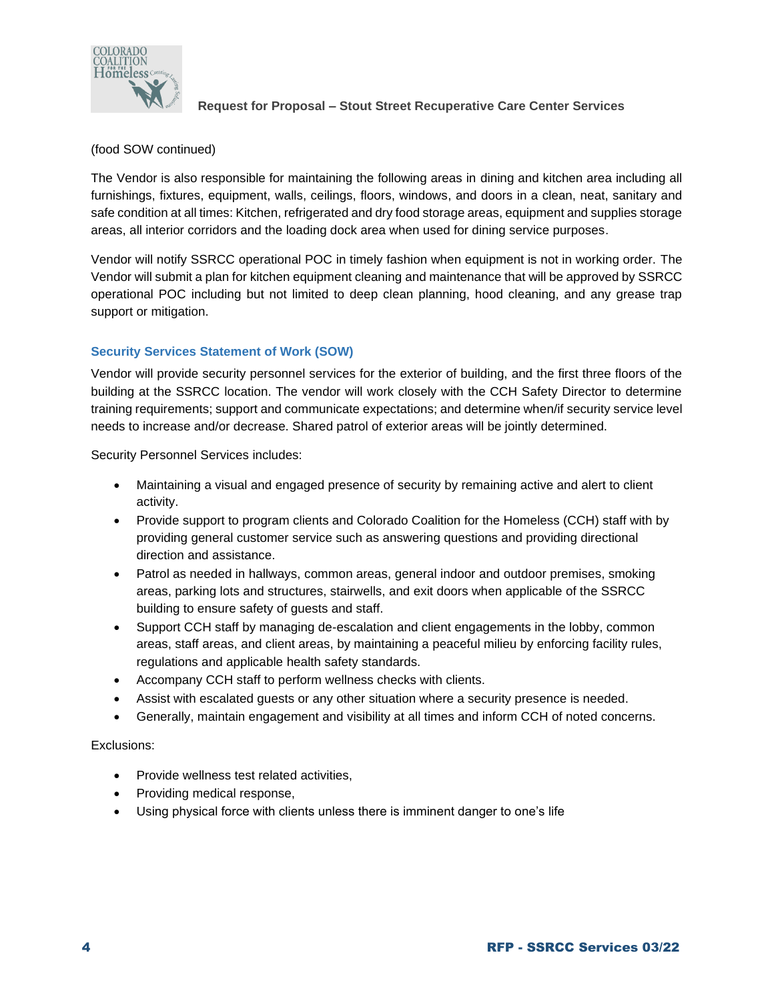

# (food SOW continued)

The Vendor is also responsible for maintaining the following areas in dining and kitchen area including all furnishings, fixtures, equipment, walls, ceilings, floors, windows, and doors in a clean, neat, sanitary and safe condition at all times: Kitchen, refrigerated and dry food storage areas, equipment and supplies storage areas, all interior corridors and the loading dock area when used for dining service purposes.

Vendor will notify SSRCC operational POC in timely fashion when equipment is not in working order. The Vendor will submit a plan for kitchen equipment cleaning and maintenance that will be approved by SSRCC operational POC including but not limited to deep clean planning, hood cleaning, and any grease trap support or mitigation.

# **Security Services Statement of Work (SOW)**

Vendor will provide security personnel services for the exterior of building, and the first three floors of the building at the SSRCC location. The vendor will work closely with the CCH Safety Director to determine training requirements; support and communicate expectations; and determine when/if security service level needs to increase and/or decrease. Shared patrol of exterior areas will be jointly determined.

Security Personnel Services includes:

- Maintaining a visual and engaged presence of security by remaining active and alert to client activity.
- Provide support to program clients and Colorado Coalition for the Homeless (CCH) staff with by providing general customer service such as answering questions and providing directional direction and assistance.
- Patrol as needed in hallways, common areas, general indoor and outdoor premises, smoking areas, parking lots and structures, stairwells, and exit doors when applicable of the SSRCC building to ensure safety of guests and staff.
- Support CCH staff by managing de-escalation and client engagements in the lobby, common areas, staff areas, and client areas, by maintaining a peaceful milieu by enforcing facility rules, regulations and applicable health safety standards.
- Accompany CCH staff to perform wellness checks with clients.
- Assist with escalated guests or any other situation where a security presence is needed.
- Generally, maintain engagement and visibility at all times and inform CCH of noted concerns.

Exclusions:

- Provide wellness test related activities,
- Providing medical response,
- Using physical force with clients unless there is imminent danger to one's life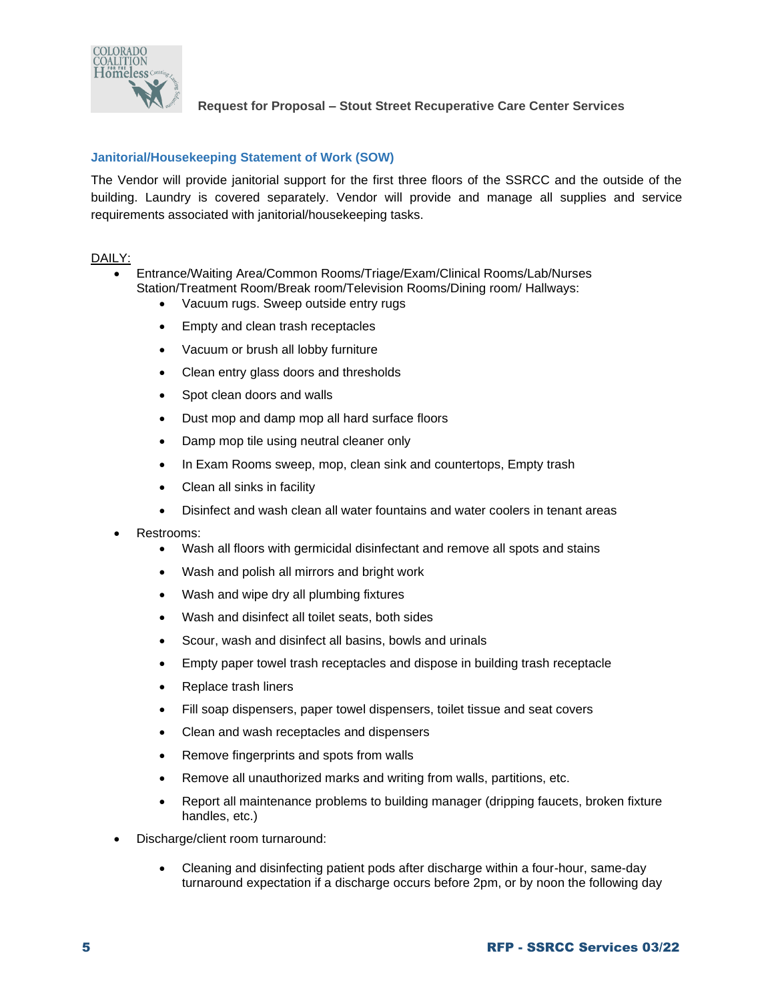

# **Janitorial/Housekeeping Statement of Work (SOW)**

The Vendor will provide janitorial support for the first three floors of the SSRCC and the outside of the building. Laundry is covered separately. Vendor will provide and manage all supplies and service requirements associated with janitorial/housekeeping tasks.

### DAILY:

- Entrance/Waiting Area/Common Rooms/Triage/Exam/Clinical Rooms/Lab/Nurses Station/Treatment Room/Break room/Television Rooms/Dining room/ Hallways:
	- Vacuum rugs. Sweep outside entry rugs
	- Empty and clean trash receptacles
	- Vacuum or brush all lobby furniture
	- Clean entry glass doors and thresholds
	- Spot clean doors and walls
	- Dust mop and damp mop all hard surface floors
	- Damp mop tile using neutral cleaner only
	- In Exam Rooms sweep, mop, clean sink and countertops, Empty trash
	- Clean all sinks in facility
	- Disinfect and wash clean all water fountains and water coolers in tenant areas
- Restrooms:
	- Wash all floors with germicidal disinfectant and remove all spots and stains
	- Wash and polish all mirrors and bright work
	- Wash and wipe dry all plumbing fixtures
	- Wash and disinfect all toilet seats, both sides
	- Scour, wash and disinfect all basins, bowls and urinals
	- Empty paper towel trash receptacles and dispose in building trash receptacle
	- Replace trash liners
	- Fill soap dispensers, paper towel dispensers, toilet tissue and seat covers
	- Clean and wash receptacles and dispensers
	- Remove fingerprints and spots from walls
	- Remove all unauthorized marks and writing from walls, partitions, etc.
	- Report all maintenance problems to building manager (dripping faucets, broken fixture handles, etc.)
- Discharge/client room turnaround:
	- Cleaning and disinfecting patient pods after discharge within a four-hour, same-day turnaround expectation if a discharge occurs before 2pm, or by noon the following day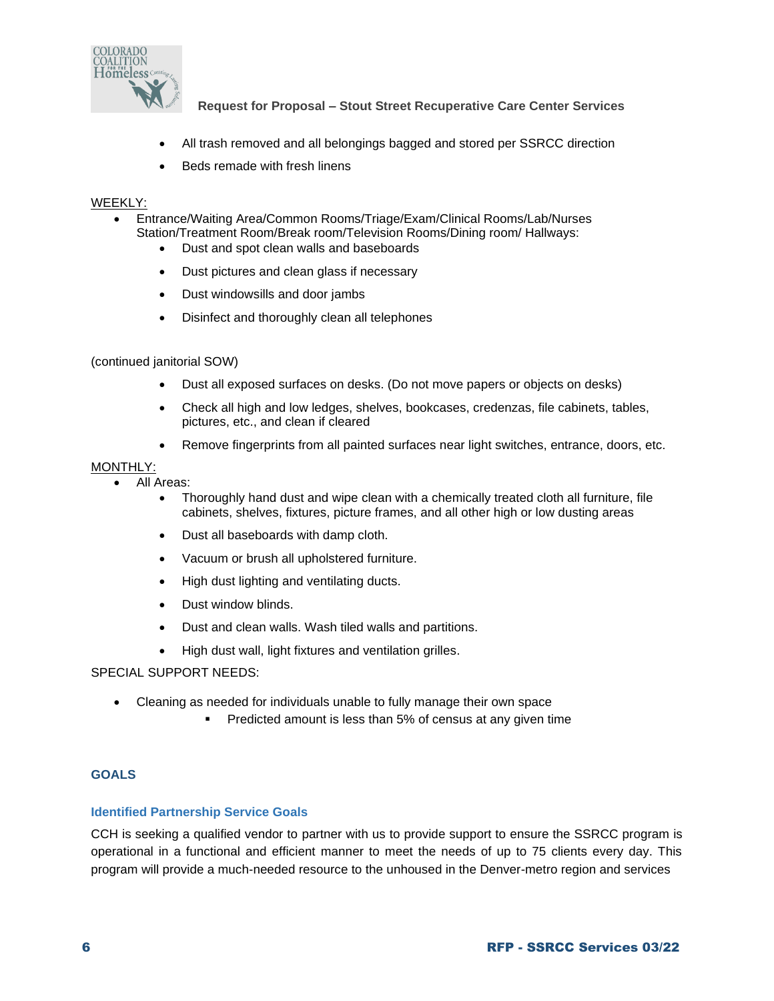

- All trash removed and all belongings bagged and stored per SSRCC direction
- Beds remade with fresh linens

### WEEKLY:

- Entrance/Waiting Area/Common Rooms/Triage/Exam/Clinical Rooms/Lab/Nurses Station/Treatment Room/Break room/Television Rooms/Dining room/ Hallways:
	- Dust and spot clean walls and baseboards
	- Dust pictures and clean glass if necessary
	- Dust windowsills and door jambs
	- Disinfect and thoroughly clean all telephones

### (continued janitorial SOW)

- Dust all exposed surfaces on desks. (Do not move papers or objects on desks)
- Check all high and low ledges, shelves, bookcases, credenzas, file cabinets, tables, pictures, etc., and clean if cleared
- Remove fingerprints from all painted surfaces near light switches, entrance, doors, etc.

### MONTHLY:

- All Areas:
	- Thoroughly hand dust and wipe clean with a chemically treated cloth all furniture, file cabinets, shelves, fixtures, picture frames, and all other high or low dusting areas
	- Dust all baseboards with damp cloth.
	- Vacuum or brush all upholstered furniture.
	- High dust lighting and ventilating ducts.
	- Dust window blinds.
	- Dust and clean walls. Wash tiled walls and partitions.
	- High dust wall, light fixtures and ventilation grilles.

#### SPECIAL SUPPORT NEEDS:

- Cleaning as needed for individuals unable to fully manage their own space
	- Predicted amount is less than 5% of census at any given time

## **GOALS**

#### **Identified Partnership Service Goals**

CCH is seeking a qualified vendor to partner with us to provide support to ensure the SSRCC program is operational in a functional and efficient manner to meet the needs of up to 75 clients every day. This program will provide a much-needed resource to the unhoused in the Denver-metro region and services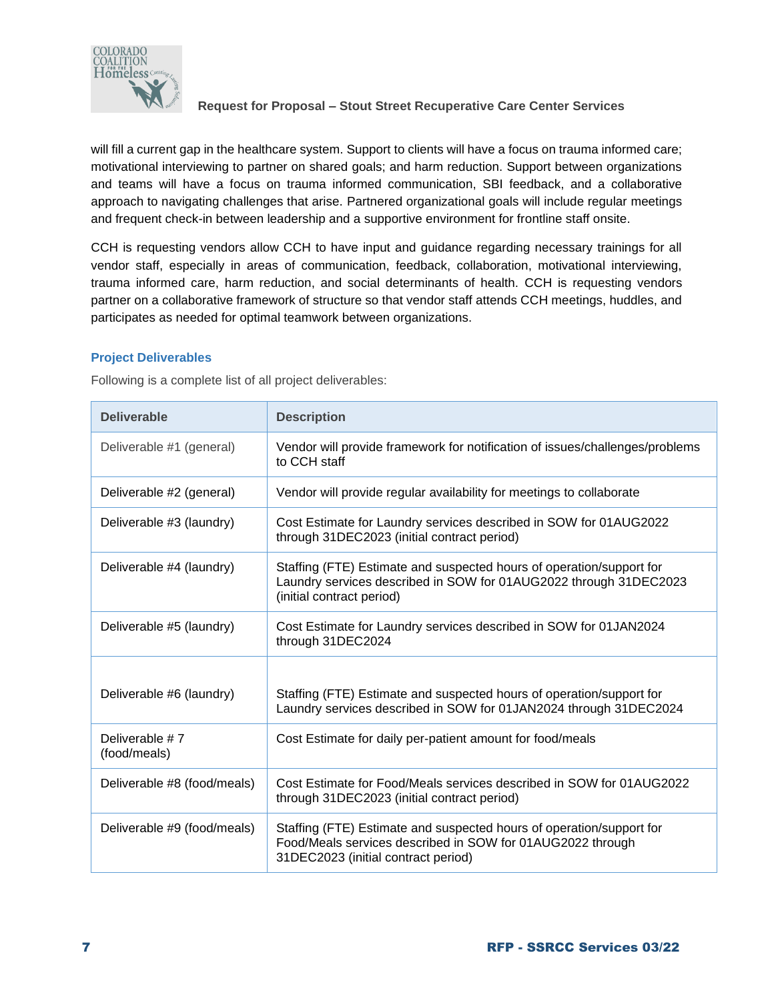

will fill a current gap in the healthcare system. Support to clients will have a focus on trauma informed care; motivational interviewing to partner on shared goals; and harm reduction. Support between organizations and teams will have a focus on trauma informed communication, SBI feedback, and a collaborative approach to navigating challenges that arise. Partnered organizational goals will include regular meetings and frequent check-in between leadership and a supportive environment for frontline staff onsite.

CCH is requesting vendors allow CCH to have input and guidance regarding necessary trainings for all vendor staff, especially in areas of communication, feedback, collaboration, motivational interviewing, trauma informed care, harm reduction, and social determinants of health. CCH is requesting vendors partner on a collaborative framework of structure so that vendor staff attends CCH meetings, huddles, and participates as needed for optimal teamwork between organizations.

## **Project Deliverables**

Following is a complete list of all project deliverables:

| <b>Deliverable</b>             | <b>Description</b>                                                                                                                                                        |
|--------------------------------|---------------------------------------------------------------------------------------------------------------------------------------------------------------------------|
| Deliverable #1 (general)       | Vendor will provide framework for notification of issues/challenges/problems<br>to CCH staff                                                                              |
| Deliverable #2 (general)       | Vendor will provide regular availability for meetings to collaborate                                                                                                      |
| Deliverable #3 (laundry)       | Cost Estimate for Laundry services described in SOW for 01AUG2022<br>through 31DEC2023 (initial contract period)                                                          |
| Deliverable #4 (laundry)       | Staffing (FTE) Estimate and suspected hours of operation/support for<br>Laundry services described in SOW for 01AUG2022 through 31DEC2023<br>(initial contract period)    |
| Deliverable #5 (laundry)       | Cost Estimate for Laundry services described in SOW for 01JAN2024<br>through 31DEC2024                                                                                    |
| Deliverable #6 (laundry)       | Staffing (FTE) Estimate and suspected hours of operation/support for<br>Laundry services described in SOW for 01JAN2024 through 31DEC2024                                 |
| Deliverable #7<br>(food/meals) | Cost Estimate for daily per-patient amount for food/meals                                                                                                                 |
| Deliverable #8 (food/meals)    | Cost Estimate for Food/Meals services described in SOW for 01AUG2022<br>through 31DEC2023 (initial contract period)                                                       |
| Deliverable #9 (food/meals)    | Staffing (FTE) Estimate and suspected hours of operation/support for<br>Food/Meals services described in SOW for 01AUG2022 through<br>31DEC2023 (initial contract period) |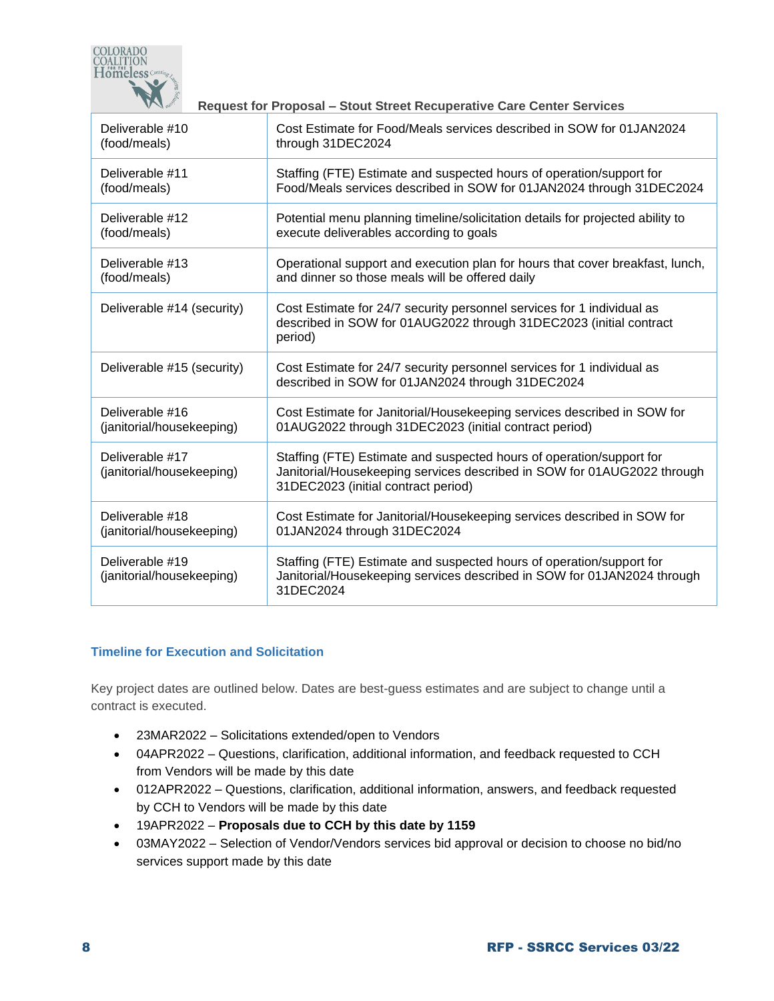

| Deliverable #10                              | Cost Estimate for Food/Meals services described in SOW for 01JAN2024                                                                                                                   |
|----------------------------------------------|----------------------------------------------------------------------------------------------------------------------------------------------------------------------------------------|
| (food/meals)                                 | through 31DEC2024                                                                                                                                                                      |
| Deliverable #11                              | Staffing (FTE) Estimate and suspected hours of operation/support for                                                                                                                   |
| (food/meals)                                 | Food/Meals services described in SOW for 01JAN2024 through 31DEC2024                                                                                                                   |
| Deliverable #12                              | Potential menu planning timeline/solicitation details for projected ability to                                                                                                         |
| (food/meals)                                 | execute deliverables according to goals                                                                                                                                                |
| Deliverable #13                              | Operational support and execution plan for hours that cover breakfast, lunch,                                                                                                          |
| (food/meals)                                 | and dinner so those meals will be offered daily                                                                                                                                        |
| Deliverable #14 (security)                   | Cost Estimate for 24/7 security personnel services for 1 individual as<br>described in SOW for 01AUG2022 through 31DEC2023 (initial contract<br>period)                                |
| Deliverable #15 (security)                   | Cost Estimate for 24/7 security personnel services for 1 individual as<br>described in SOW for 01JAN2024 through 31DEC2024                                                             |
| Deliverable #16                              | Cost Estimate for Janitorial/Housekeeping services described in SOW for                                                                                                                |
| (janitorial/housekeeping)                    | 01AUG2022 through 31DEC2023 (initial contract period)                                                                                                                                  |
| Deliverable #17<br>(janitorial/housekeeping) | Staffing (FTE) Estimate and suspected hours of operation/support for<br>Janitorial/Housekeeping services described in SOW for 01AUG2022 through<br>31DEC2023 (initial contract period) |
| Deliverable #18                              | Cost Estimate for Janitorial/Housekeeping services described in SOW for                                                                                                                |
| (janitorial/housekeeping)                    | 01JAN2024 through 31DEC2024                                                                                                                                                            |
| Deliverable #19<br>(janitorial/housekeeping) | Staffing (FTE) Estimate and suspected hours of operation/support for<br>Janitorial/Housekeeping services described in SOW for 01JAN2024 through<br>31DEC2024                           |

## **Timeline for Execution and Solicitation**

Key project dates are outlined below. Dates are best-guess estimates and are subject to change until a contract is executed.

- 23MAR2022 Solicitations extended/open to Vendors
- 04APR2022 Questions, clarification, additional information, and feedback requested to CCH from Vendors will be made by this date
- 012APR2022 Questions, clarification, additional information, answers, and feedback requested by CCH to Vendors will be made by this date
- 19APR2022 **Proposals due to CCH by this date by 1159**
- 03MAY2022 Selection of Vendor/Vendors services bid approval or decision to choose no bid/no services support made by this date